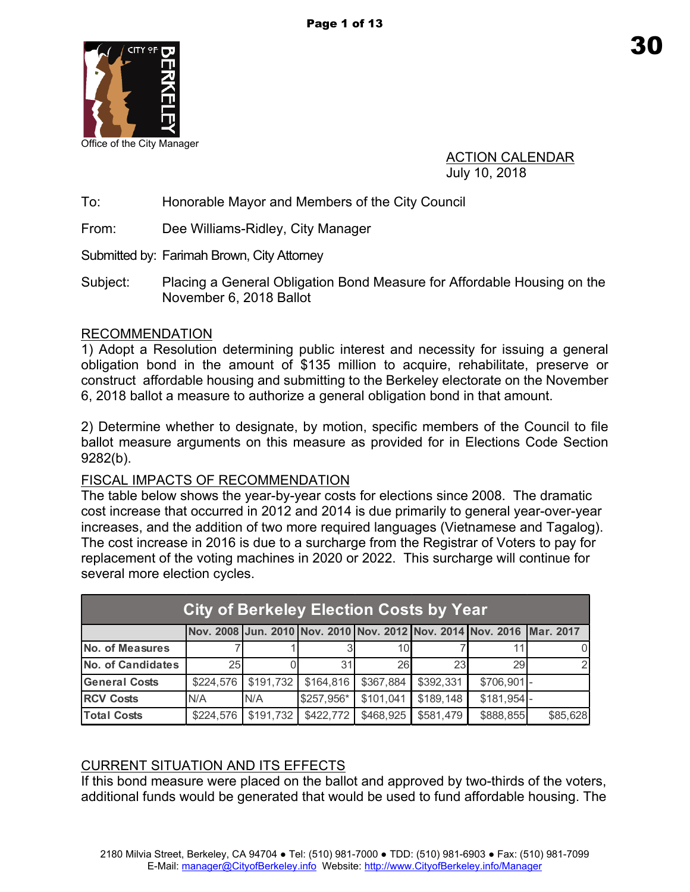

ACTION CALENDAR July 10, 2018

To: Honorable Mayor and Members of the City Council

From: Dee Williams-Ridley, City Manager

Submitted by: Farimah Brown, City Attorney

Subject: Placing a General Obligation Bond Measure for Affordable Housing on the November 6, 2018 Ballot

### RECOMMENDATION

1) Adopt a Resolution determining public interest and necessity for issuing a general obligation bond in the amount of \$135 million to acquire, rehabilitate, preserve or construct affordable housing and submitting to the Berkeley electorate on the November 6, 2018 ballot a measure to authorize a general obligation bond in that amount.

2) Determine whether to designate, by motion, specific members of the Council to file ballot measure arguments on this measure as provided for in Elections Code Section 9282(b).

### FISCAL IMPACTS OF RECOMMENDATION

The table below shows the year-by-year costs for elections since 2008. The dramatic cost increase that occurred in 2012 and 2014 is due primarily to general year-over-year increases, and the addition of two more required languages (Vietnamese and Tagalog). The cost increase in 2016 is due to a surcharge from the Registrar of Voters to pay for replacement of the voting machines in 2020 or 2022. This surcharge will continue for several more election cycles.

| <b>City of Berkeley Election Costs by Year</b> |                 |           |            |           |           |                                                                       |          |  |
|------------------------------------------------|-----------------|-----------|------------|-----------|-----------|-----------------------------------------------------------------------|----------|--|
|                                                |                 |           |            |           |           | Nov. 2008 Jun. 2010 Nov. 2010 Nov. 2012 Nov. 2014 Nov. 2016 Mar. 2017 |          |  |
| <b>No. of Measures</b>                         |                 |           |            | 101       |           |                                                                       | U        |  |
| <b>No. of Candidates</b>                       | 25 <sub>l</sub> |           | 31         | 26        | 23        | 29                                                                    |          |  |
| <b>General Costs</b>                           | \$224,576       | \$191,732 | \$164,816  | \$367,884 | \$392,331 | $$706,901$ -                                                          |          |  |
| <b>RCV Costs</b>                               | N/A             | N/A       | \$257,956* | \$101,041 | \$189,148 | \$181,954                                                             |          |  |
| <b>Total Costs</b>                             | \$224,576       | \$191,732 | \$422,772  | \$468,925 | \$581,479 | \$888,855                                                             | \$85,628 |  |

## CURRENT SITUATION AND ITS EFFECTS

If this bond measure were placed on the ballot and approved by two-thirds of the voters, additional funds would be generated that would be used to fund affordable housing. The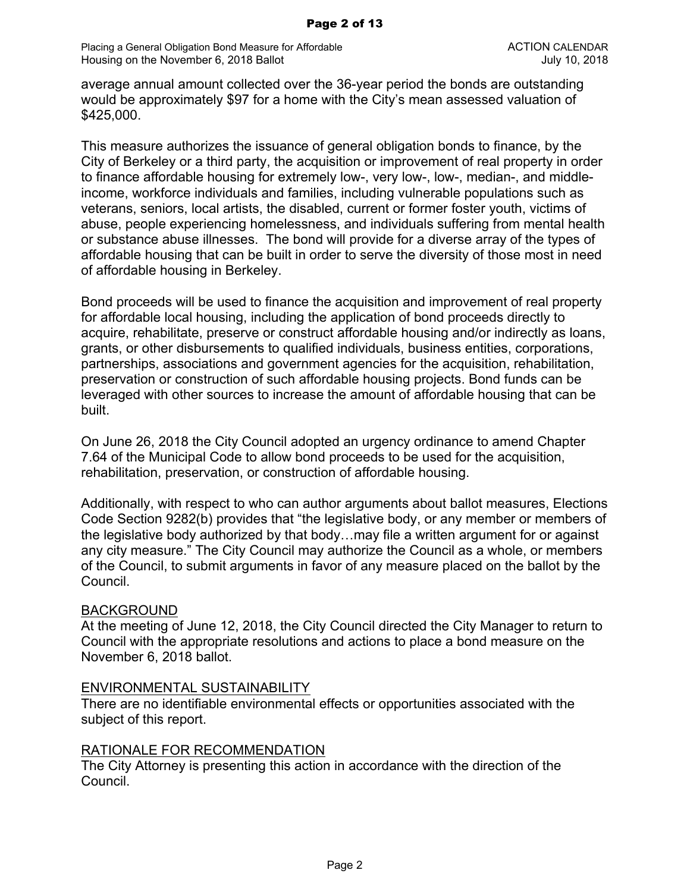Placing a General Obligation Bond Measure for Affordable **ACTION CALENDAR** ACTION CALENDAR Housing on the November 6, 2018 Ballot July 10, 2018 **July 10, 2018** 

average annual amount collected over the 36-year period the bonds are outstanding would be approximately \$97 for a home with the City's mean assessed valuation of \$425,000.

This measure authorizes the issuance of general obligation bonds to finance, by the City of Berkeley or a third party, the acquisition or improvement of real property in order to finance affordable housing for extremely low-, very low-, low-, median-, and middleincome, workforce individuals and families, including vulnerable populations such as veterans, seniors, local artists, the disabled, current or former foster youth, victims of abuse, people experiencing homelessness, and individuals suffering from mental health or substance abuse illnesses. The bond will provide for a diverse array of the types of affordable housing that can be built in order to serve the diversity of those most in need of affordable housing in Berkeley.

Bond proceeds will be used to finance the acquisition and improvement of real property for affordable local housing, including the application of bond proceeds directly to acquire, rehabilitate, preserve or construct affordable housing and/or indirectly as loans, grants, or other disbursements to qualified individuals, business entities, corporations, partnerships, associations and government agencies for the acquisition, rehabilitation, preservation or construction of such affordable housing projects. Bond funds can be leveraged with other sources to increase the amount of affordable housing that can be built.

On June 26, 2018 the City Council adopted an urgency ordinance to amend Chapter 7.64 of the Municipal Code to allow bond proceeds to be used for the acquisition, rehabilitation, preservation, or construction of affordable housing.

Additionally, with respect to who can author arguments about ballot measures, Elections Code Section 9282(b) provides that "the legislative body, or any member or members of the legislative body authorized by that body…may file a written argument for or against any city measure." The City Council may authorize the Council as a whole, or members of the Council, to submit arguments in favor of any measure placed on the ballot by the Council.

#### BACKGROUND

At the meeting of June 12, 2018, the City Council directed the City Manager to return to Council with the appropriate resolutions and actions to place a bond measure on the November 6, 2018 ballot.

#### ENVIRONMENTAL SUSTAINABILITY

There are no identifiable environmental effects or opportunities associated with the subject of this report.

#### RATIONALE FOR RECOMMENDATION

The City Attorney is presenting this action in accordance with the direction of the Council.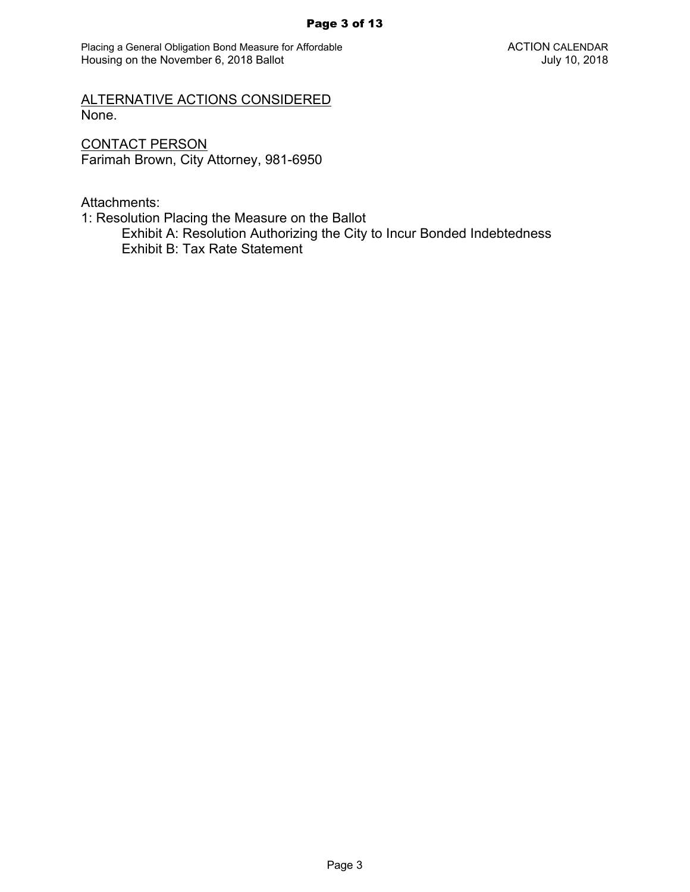Placing a General Obligation Bond Measure for Affordable **ACTION CALENDAR** ACTION CALENDAR Housing on the November 6, 2018 Ballot **July 10, 2018** 

ALTERNATIVE ACTIONS CONSIDERED None.

CONTACT PERSON Farimah Brown, City Attorney, 981-6950

Attachments:

1: Resolution Placing the Measure on the Ballot

Exhibit A: Resolution Authorizing the City to Incur Bonded Indebtedness Exhibit B: Tax Rate Statement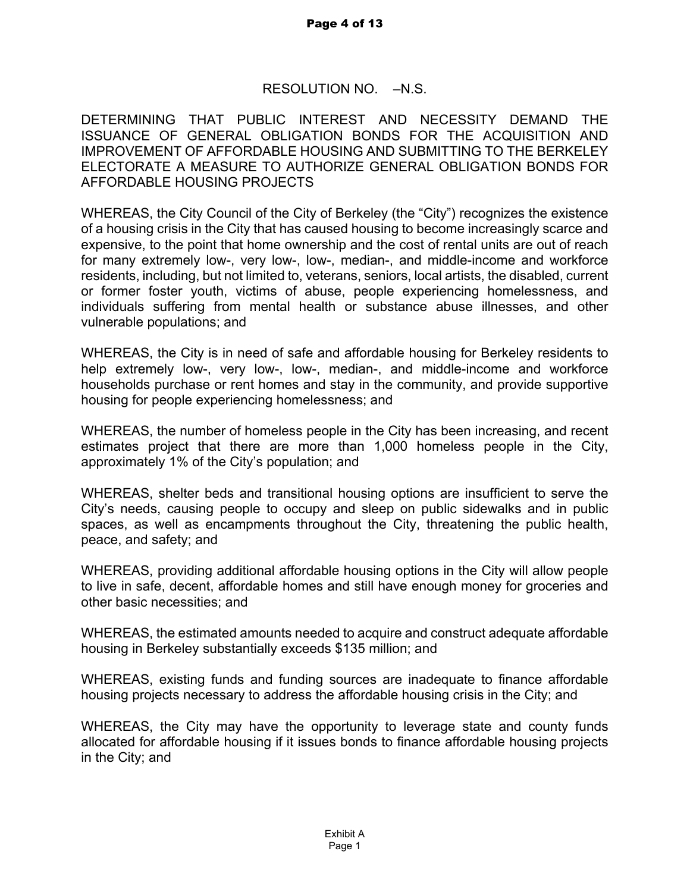## RESOLUTION NO. - N.S.

DETERMINING THAT PUBLIC INTEREST AND NECESSITY DEMAND THE ISSUANCE OF GENERAL OBLIGATION BONDS FOR THE ACQUISITION AND IMPROVEMENT OF AFFORDABLE HOUSING AND SUBMITTING TO THE BERKELEY ELECTORATE A MEASURE TO AUTHORIZE GENERAL OBLIGATION BONDS FOR AFFORDABLE HOUSING PROJECTS

WHEREAS, the City Council of the City of Berkeley (the "City") recognizes the existence of a housing crisis in the City that has caused housing to become increasingly scarce and expensive, to the point that home ownership and the cost of rental units are out of reach for many extremely low-, very low-, low-, median-, and middle-income and workforce residents, including, but not limited to, veterans, seniors, local artists, the disabled, current or former foster youth, victims of abuse, people experiencing homelessness, and individuals suffering from mental health or substance abuse illnesses, and other vulnerable populations; and

WHEREAS, the City is in need of safe and affordable housing for Berkeley residents to help extremely low-, very low-, low-, median-, and middle-income and workforce households purchase or rent homes and stay in the community, and provide supportive housing for people experiencing homelessness; and

WHEREAS, the number of homeless people in the City has been increasing, and recent estimates project that there are more than 1,000 homeless people in the City, approximately 1% of the City's population; and

WHEREAS, shelter beds and transitional housing options are insufficient to serve the City's needs, causing people to occupy and sleep on public sidewalks and in public spaces, as well as encampments throughout the City, threatening the public health, peace, and safety; and

WHEREAS, providing additional affordable housing options in the City will allow people to live in safe, decent, affordable homes and still have enough money for groceries and other basic necessities; and

WHEREAS, the estimated amounts needed to acquire and construct adequate affordable housing in Berkeley substantially exceeds \$135 million; and

WHEREAS, existing funds and funding sources are inadequate to finance affordable housing projects necessary to address the affordable housing crisis in the City; and

WHEREAS, the City may have the opportunity to leverage state and county funds allocated for affordable housing if it issues bonds to finance affordable housing projects in the City; and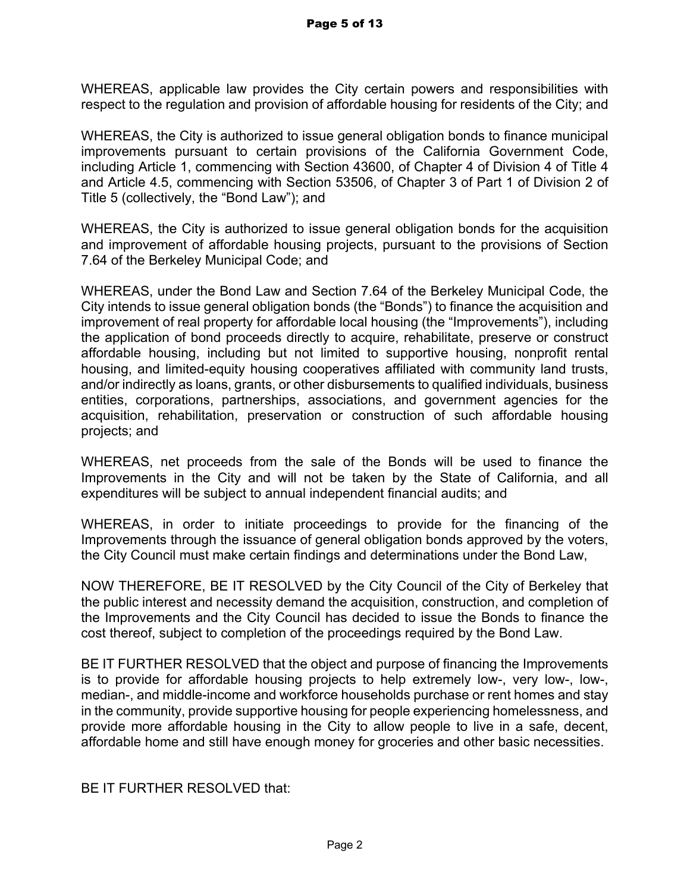WHEREAS, applicable law provides the City certain powers and responsibilities with respect to the regulation and provision of affordable housing for residents of the City; and

WHEREAS, the City is authorized to issue general obligation bonds to finance municipal improvements pursuant to certain provisions of the California Government Code, including Article 1, commencing with Section 43600, of Chapter 4 of Division 4 of Title 4 and Article 4.5, commencing with Section 53506, of Chapter 3 of Part 1 of Division 2 of Title 5 (collectively, the "Bond Law"); and

WHEREAS, the City is authorized to issue general obligation bonds for the acquisition and improvement of affordable housing projects, pursuant to the provisions of Section 7.64 of the Berkeley Municipal Code; and

WHEREAS, under the Bond Law and Section 7.64 of the Berkeley Municipal Code, the City intends to issue general obligation bonds (the "Bonds") to finance the acquisition and improvement of real property for affordable local housing (the "Improvements"), including the application of bond proceeds directly to acquire, rehabilitate, preserve or construct affordable housing, including but not limited to supportive housing, nonprofit rental housing, and limited-equity housing cooperatives affiliated with community land trusts, and/or indirectly as loans, grants, or other disbursements to qualified individuals, business entities, corporations, partnerships, associations, and government agencies for the acquisition, rehabilitation, preservation or construction of such affordable housing projects; and

WHEREAS, net proceeds from the sale of the Bonds will be used to finance the Improvements in the City and will not be taken by the State of California, and all expenditures will be subject to annual independent financial audits; and

WHEREAS, in order to initiate proceedings to provide for the financing of the Improvements through the issuance of general obligation bonds approved by the voters, the City Council must make certain findings and determinations under the Bond Law,

NOW THEREFORE, BE IT RESOLVED by the City Council of the City of Berkeley that the public interest and necessity demand the acquisition, construction, and completion of the Improvements and the City Council has decided to issue the Bonds to finance the cost thereof, subject to completion of the proceedings required by the Bond Law.

BE IT FURTHER RESOLVED that the object and purpose of financing the Improvements is to provide for affordable housing projects to help extremely low-, very low-, low-, median-, and middle-income and workforce households purchase or rent homes and stay in the community, provide supportive housing for people experiencing homelessness, and provide more affordable housing in the City to allow people to live in a safe, decent, affordable home and still have enough money for groceries and other basic necessities.

BE IT FURTHER RESOLVED that: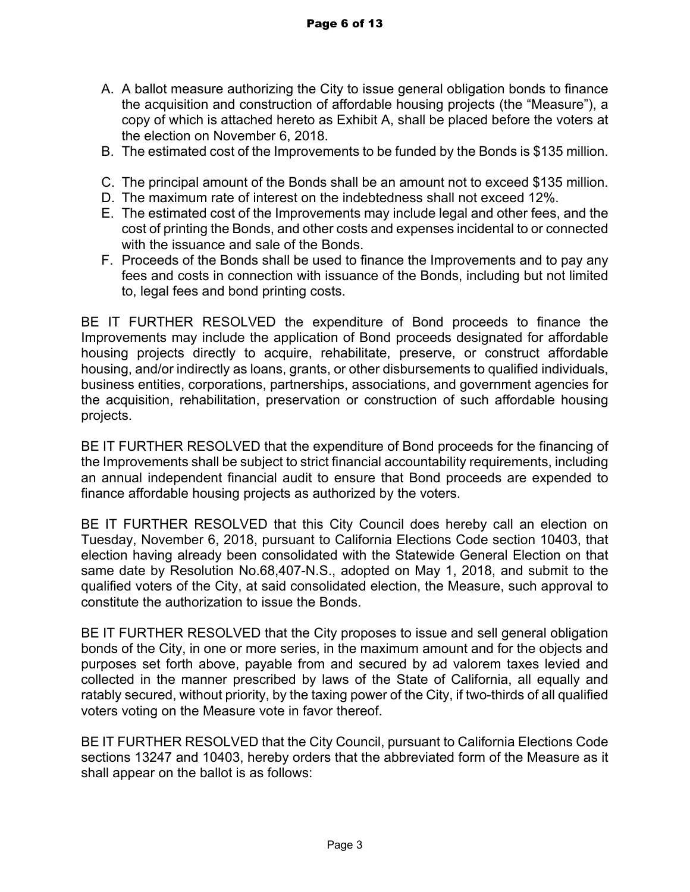- A. A ballot measure authorizing the City to issue general obligation bonds to finance the acquisition and construction of affordable housing projects (the "Measure"), a copy of which is attached hereto as Exhibit A, shall be placed before the voters at the election on November 6, 2018.
- B. The estimated cost of the Improvements to be funded by the Bonds is \$135 million.
- C. The principal amount of the Bonds shall be an amount not to exceed \$135 million.
- D. The maximum rate of interest on the indebtedness shall not exceed 12%.
- E. The estimated cost of the Improvements may include legal and other fees, and the cost of printing the Bonds, and other costs and expenses incidental to or connected with the issuance and sale of the Bonds.
- F. Proceeds of the Bonds shall be used to finance the Improvements and to pay any fees and costs in connection with issuance of the Bonds, including but not limited to, legal fees and bond printing costs.

BE IT FURTHER RESOLVED the expenditure of Bond proceeds to finance the Improvements may include the application of Bond proceeds designated for affordable housing projects directly to acquire, rehabilitate, preserve, or construct affordable housing, and/or indirectly as loans, grants, or other disbursements to qualified individuals, business entities, corporations, partnerships, associations, and government agencies for the acquisition, rehabilitation, preservation or construction of such affordable housing projects.

BE IT FURTHER RESOLVED that the expenditure of Bond proceeds for the financing of the Improvements shall be subject to strict financial accountability requirements, including an annual independent financial audit to ensure that Bond proceeds are expended to finance affordable housing projects as authorized by the voters.

BE IT FURTHER RESOLVED that this City Council does hereby call an election on Tuesday, November 6, 2018, pursuant to California Elections Code section 10403, that election having already been consolidated with the Statewide General Election on that same date by Resolution No.68,407-N.S., adopted on May 1, 2018, and submit to the qualified voters of the City, at said consolidated election, the Measure, such approval to constitute the authorization to issue the Bonds.

BE IT FURTHER RESOLVED that the City proposes to issue and sell general obligation bonds of the City, in one or more series, in the maximum amount and for the objects and purposes set forth above, payable from and secured by ad valorem taxes levied and collected in the manner prescribed by laws of the State of California, all equally and ratably secured, without priority, by the taxing power of the City, if two-thirds of all qualified voters voting on the Measure vote in favor thereof.

BE IT FURTHER RESOLVED that the City Council, pursuant to California Elections Code sections 13247 and 10403, hereby orders that the abbreviated form of the Measure as it shall appear on the ballot is as follows: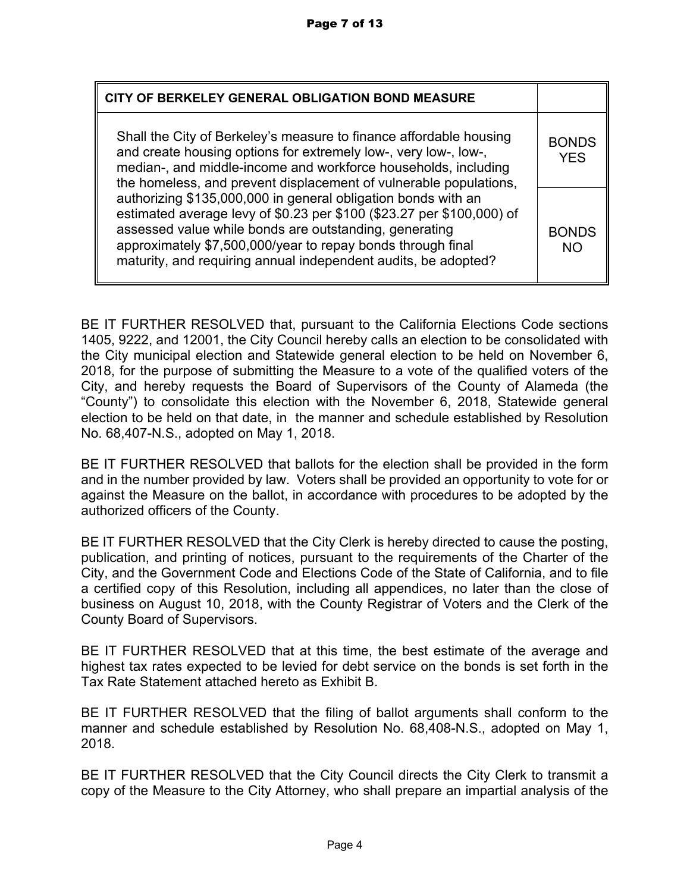| CITY OF BERKELEY GENERAL OBLIGATION BOND MEASURE                                                                                                                                                                                                                                                                                  |                            |  |  |  |
|-----------------------------------------------------------------------------------------------------------------------------------------------------------------------------------------------------------------------------------------------------------------------------------------------------------------------------------|----------------------------|--|--|--|
| Shall the City of Berkeley's measure to finance affordable housing<br>and create housing options for extremely low-, very low-, low-,<br>median-, and middle-income and workforce households, including<br>the homeless, and prevent displacement of vulnerable populations,                                                      | <b>BONDS</b><br><b>YES</b> |  |  |  |
| authorizing \$135,000,000 in general obligation bonds with an<br>estimated average levy of \$0.23 per \$100 (\$23.27 per \$100,000) of<br>assessed value while bonds are outstanding, generating<br>approximately \$7,500,000/year to repay bonds through final<br>maturity, and requiring annual independent audits, be adopted? | <b>BONDS</b><br><b>NO</b>  |  |  |  |

BE IT FURTHER RESOLVED that, pursuant to the California Elections Code sections 1405, 9222, and 12001, the City Council hereby calls an election to be consolidated with the City municipal election and Statewide general election to be held on November 6, 2018, for the purpose of submitting the Measure to a vote of the qualified voters of the City, and hereby requests the Board of Supervisors of the County of Alameda (the "County") to consolidate this election with the November 6, 2018, Statewide general election to be held on that date, in the manner and schedule established by Resolution No. 68,407-N.S., adopted on May 1, 2018.

BE IT FURTHER RESOLVED that ballots for the election shall be provided in the form and in the number provided by law. Voters shall be provided an opportunity to vote for or against the Measure on the ballot, in accordance with procedures to be adopted by the authorized officers of the County.

BE IT FURTHER RESOLVED that the City Clerk is hereby directed to cause the posting, publication, and printing of notices, pursuant to the requirements of the Charter of the City, and the Government Code and Elections Code of the State of California, and to file a certified copy of this Resolution, including all appendices, no later than the close of business on August 10, 2018, with the County Registrar of Voters and the Clerk of the County Board of Supervisors.

BE IT FURTHER RESOLVED that at this time, the best estimate of the average and highest tax rates expected to be levied for debt service on the bonds is set forth in the Tax Rate Statement attached hereto as Exhibit B.

BE IT FURTHER RESOLVED that the filing of ballot arguments shall conform to the manner and schedule established by Resolution No. 68,408-N.S., adopted on May 1, 2018.

BE IT FURTHER RESOLVED that the City Council directs the City Clerk to transmit a copy of the Measure to the City Attorney, who shall prepare an impartial analysis of the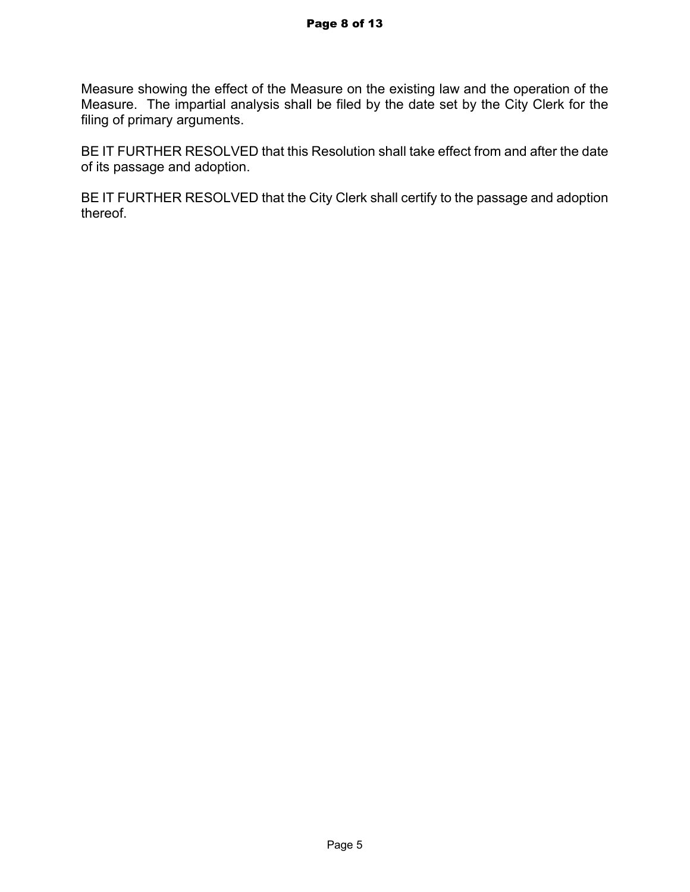Measure showing the effect of the Measure on the existing law and the operation of the Measure. The impartial analysis shall be filed by the date set by the City Clerk for the filing of primary arguments.

BE IT FURTHER RESOLVED that this Resolution shall take effect from and after the date of its passage and adoption.

BE IT FURTHER RESOLVED that the City Clerk shall certify to the passage and adoption thereof.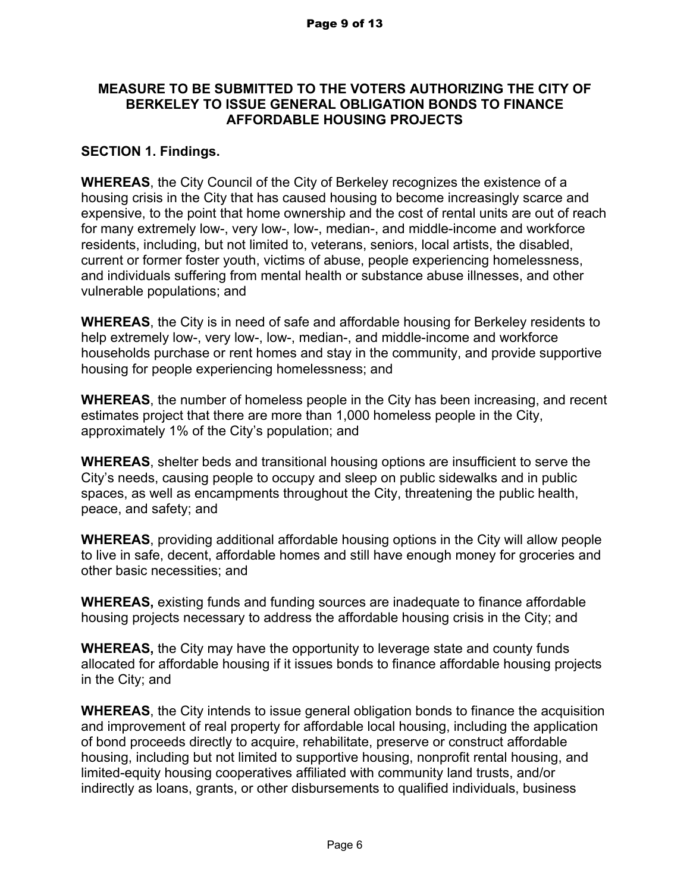### **MEASURE TO BE SUBMITTED TO THE VOTERS AUTHORIZING THE CITY OF BERKELEY TO ISSUE GENERAL OBLIGATION BONDS TO FINANCE AFFORDABLE HOUSING PROJECTS**

## **SECTION 1. Findings.**

**WHEREAS**, the City Council of the City of Berkeley recognizes the existence of a housing crisis in the City that has caused housing to become increasingly scarce and expensive, to the point that home ownership and the cost of rental units are out of reach for many extremely low-, very low-, low-, median-, and middle-income and workforce residents, including, but not limited to, veterans, seniors, local artists, the disabled, current or former foster youth, victims of abuse, people experiencing homelessness, and individuals suffering from mental health or substance abuse illnesses, and other vulnerable populations; and

**WHEREAS**, the City is in need of safe and affordable housing for Berkeley residents to help extremely low-, very low-, low-, median-, and middle-income and workforce households purchase or rent homes and stay in the community, and provide supportive housing for people experiencing homelessness; and

**WHEREAS**, the number of homeless people in the City has been increasing, and recent estimates project that there are more than 1,000 homeless people in the City, approximately 1% of the City's population; and

**WHEREAS**, shelter beds and transitional housing options are insufficient to serve the City's needs, causing people to occupy and sleep on public sidewalks and in public spaces, as well as encampments throughout the City, threatening the public health, peace, and safety; and

**WHEREAS**, providing additional affordable housing options in the City will allow people to live in safe, decent, affordable homes and still have enough money for groceries and other basic necessities; and

**WHEREAS,** existing funds and funding sources are inadequate to finance affordable housing projects necessary to address the affordable housing crisis in the City; and

**WHEREAS,** the City may have the opportunity to leverage state and county funds allocated for affordable housing if it issues bonds to finance affordable housing projects in the City; and

**WHEREAS**, the City intends to issue general obligation bonds to finance the acquisition and improvement of real property for affordable local housing, including the application of bond proceeds directly to acquire, rehabilitate, preserve or construct affordable housing, including but not limited to supportive housing, nonprofit rental housing, and limited-equity housing cooperatives affiliated with community land trusts, and/or indirectly as loans, grants, or other disbursements to qualified individuals, business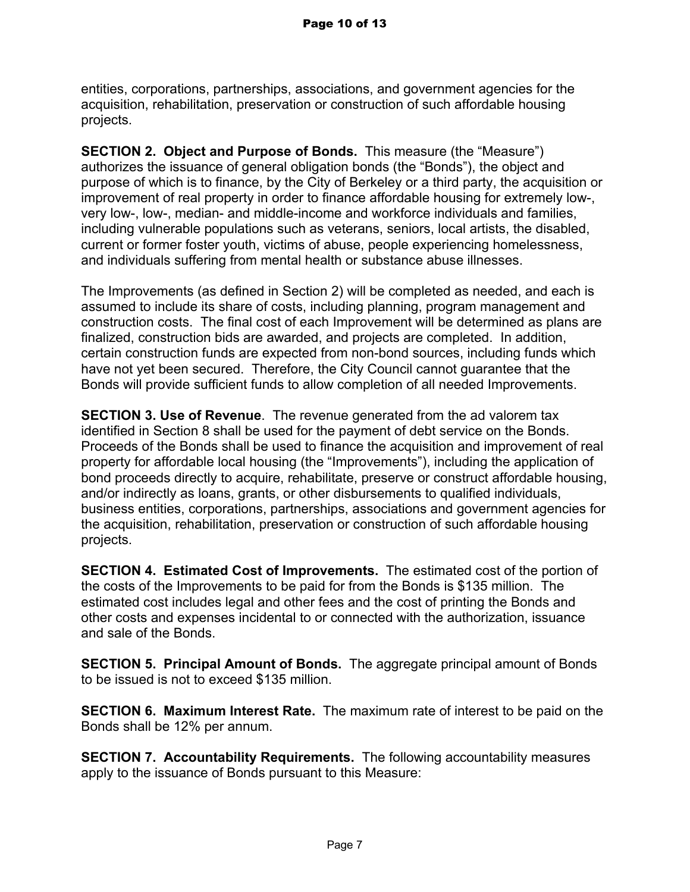entities, corporations, partnerships, associations, and government agencies for the acquisition, rehabilitation, preservation or construction of such affordable housing projects.

**SECTION 2. Object and Purpose of Bonds.** This measure (the "Measure") authorizes the issuance of general obligation bonds (the "Bonds"), the object and purpose of which is to finance, by the City of Berkeley or a third party, the acquisition or improvement of real property in order to finance affordable housing for extremely low-, very low-, low-, median- and middle-income and workforce individuals and families, including vulnerable populations such as veterans, seniors, local artists, the disabled, current or former foster youth, victims of abuse, people experiencing homelessness, and individuals suffering from mental health or substance abuse illnesses.

The Improvements (as defined in Section 2) will be completed as needed, and each is assumed to include its share of costs, including planning, program management and construction costs. The final cost of each Improvement will be determined as plans are finalized, construction bids are awarded, and projects are completed. In addition, certain construction funds are expected from non-bond sources, including funds which have not yet been secured. Therefore, the City Council cannot guarantee that the Bonds will provide sufficient funds to allow completion of all needed Improvements.

**SECTION 3. Use of Revenue**. The revenue generated from the ad valorem tax identified in Section 8 shall be used for the payment of debt service on the Bonds. Proceeds of the Bonds shall be used to finance the acquisition and improvement of real property for affordable local housing (the "Improvements"), including the application of bond proceeds directly to acquire, rehabilitate, preserve or construct affordable housing, and/or indirectly as loans, grants, or other disbursements to qualified individuals, business entities, corporations, partnerships, associations and government agencies for the acquisition, rehabilitation, preservation or construction of such affordable housing projects.

**SECTION 4. Estimated Cost of Improvements.** The estimated cost of the portion of the costs of the Improvements to be paid for from the Bonds is \$135 million. The estimated cost includes legal and other fees and the cost of printing the Bonds and other costs and expenses incidental to or connected with the authorization, issuance and sale of the Bonds.

**SECTION 5. Principal Amount of Bonds.** The aggregate principal amount of Bonds to be issued is not to exceed \$135 million.

**SECTION 6. Maximum Interest Rate.** The maximum rate of interest to be paid on the Bonds shall be 12% per annum.

**SECTION 7. Accountability Requirements.** The following accountability measures apply to the issuance of Bonds pursuant to this Measure: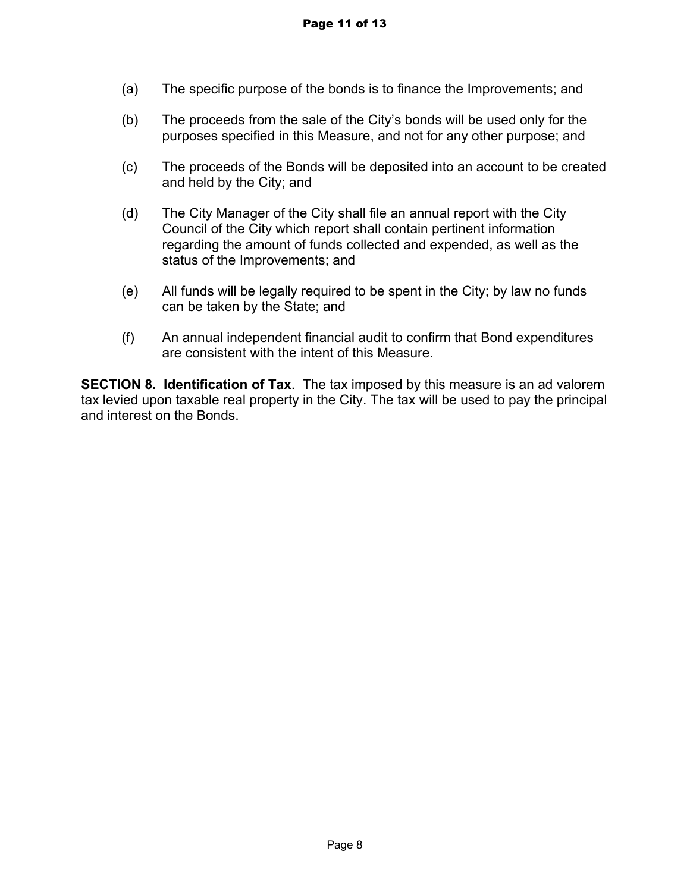- (a) The specific purpose of the bonds is to finance the Improvements; and
- (b) The proceeds from the sale of the City's bonds will be used only for the purposes specified in this Measure, and not for any other purpose; and
- (c) The proceeds of the Bonds will be deposited into an account to be created and held by the City; and
- (d) The City Manager of the City shall file an annual report with the City Council of the City which report shall contain pertinent information regarding the amount of funds collected and expended, as well as the status of the Improvements; and
- (e) All funds will be legally required to be spent in the City; by law no funds can be taken by the State; and
- (f) An annual independent financial audit to confirm that Bond expenditures are consistent with the intent of this Measure.

**SECTION 8. Identification of Tax**. The tax imposed by this measure is an ad valorem tax levied upon taxable real property in the City. The tax will be used to pay the principal and interest on the Bonds.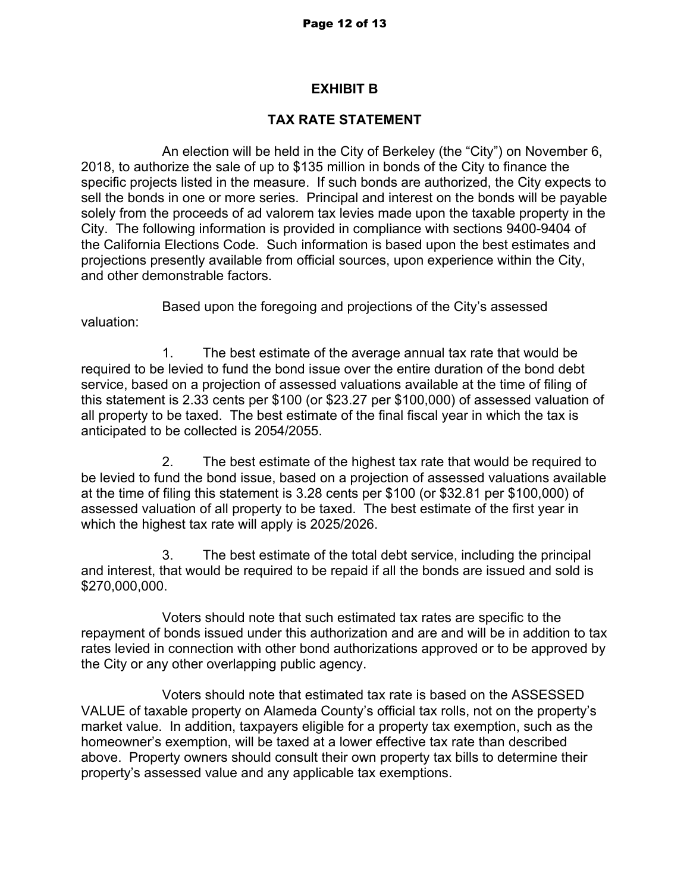## **EXHIBIT B**

# **TAX RATE STATEMENT**

An election will be held in the City of Berkeley (the "City") on November 6, 2018, to authorize the sale of up to \$135 million in bonds of the City to finance the specific projects listed in the measure. If such bonds are authorized, the City expects to sell the bonds in one or more series. Principal and interest on the bonds will be payable solely from the proceeds of ad valorem tax levies made upon the taxable property in the City. The following information is provided in compliance with sections 9400-9404 of the California Elections Code. Such information is based upon the best estimates and projections presently available from official sources, upon experience within the City, and other demonstrable factors.

Based upon the foregoing and projections of the City's assessed valuation:

1. The best estimate of the average annual tax rate that would be required to be levied to fund the bond issue over the entire duration of the bond debt service, based on a projection of assessed valuations available at the time of filing of this statement is 2.33 cents per \$100 (or \$23.27 per \$100,000) of assessed valuation of all property to be taxed. The best estimate of the final fiscal year in which the tax is anticipated to be collected is 2054/2055.

2. The best estimate of the highest tax rate that would be required to be levied to fund the bond issue, based on a projection of assessed valuations available at the time of filing this statement is 3.28 cents per \$100 (or \$32.81 per \$100,000) of assessed valuation of all property to be taxed. The best estimate of the first year in which the highest tax rate will apply is 2025/2026.

3. The best estimate of the total debt service, including the principal and interest, that would be required to be repaid if all the bonds are issued and sold is \$270,000,000.

Voters should note that such estimated tax rates are specific to the repayment of bonds issued under this authorization and are and will be in addition to tax rates levied in connection with other bond authorizations approved or to be approved by the City or any other overlapping public agency.

Voters should note that estimated tax rate is based on the ASSESSED VALUE of taxable property on Alameda County's official tax rolls, not on the property's market value. In addition, taxpayers eligible for a property tax exemption, such as the homeowner's exemption, will be taxed at a lower effective tax rate than described above. Property owners should consult their own property tax bills to determine their property's assessed value and any applicable tax exemptions.